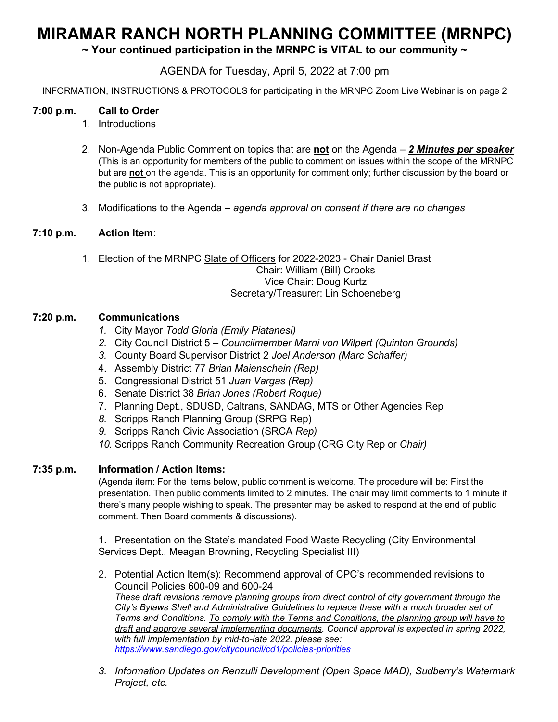# **MIRAMAR RANCH NORTH PLANNING COMMITTEE (MRNPC)**

**~ Your continued participation in the MRNPC is VITAL to our community ~**

# AGENDA for Tuesday, April 5, 2022 at 7:00 pm

INFORMATION, INSTRUCTIONS & PROTOCOLS for participating in the MRNPC Zoom Live Webinar is on page 2

## **7:00 p.m. Call to Order**

- 1. Introductions
- 2. Non-Agenda Public Comment on topics that are **not** on the Agenda *2 Minutes per speaker* (This is an opportunity for members of the public to comment on issues within the scope of the MRNPC but are **not** on the agenda. This is an opportunity for comment only; further discussion by the board or the public is not appropriate).
- 3. Modifications to the Agenda *agenda approval on consent if there are no changes*

### **7:10 p.m. Action Item:**

1. Election of the MRNPC Slate of Officers for 2022-2023 - Chair Daniel Brast Chair: William (Bill) Crooks Vice Chair: Doug Kurtz Secretary/Treasurer: Lin Schoeneberg

### **7:20 p.m. Communications**

- *1.* City Mayor *Todd Gloria (Emily Piatanesi)*
- *2.* City Council District 5 *Councilmember Marni von Wilpert (Quinton Grounds)*
- *3.* County Board Supervisor District 2 *Joel Anderson (Marc Schaffer)*
- 4. Assembly District 77 *Brian Maienschein (Rep)*
- 5. Congressional District 51 *Juan Vargas (Rep)*
- 6. Senate District 38 *Brian Jones (Robert Roque)*
- 7. Planning Dept., SDUSD, Caltrans, SANDAG, MTS or Other Agencies Rep
- *8.* Scripps Ranch Planning Group (SRPG Rep)
- *9.* Scripps Ranch Civic Association (SRCA *Rep)*
- *10.* Scripps Ranch Community Recreation Group (CRG City Rep or *Chair)*

#### **7:35 p.m. Information / Action Items:**

(Agenda item: For the items below, public comment is welcome. The procedure will be: First the presentation. Then public comments limited to 2 minutes. The chair may limit comments to 1 minute if there's many people wishing to speak. The presenter may be asked to respond at the end of public comment. Then Board comments & discussions).

1. Presentation on the State's mandated Food Waste Recycling (City Environmental Services Dept., Meagan Browning, Recycling Specialist III)

- 2. Potential Action Item(s): Recommend approval of CPC's recommended revisions to Council Policies 600-09 and 600-24 *These draft revisions remove planning groups from direct control of city government through the City's Bylaws Shell and Administrative Guidelines to replace these with a much broader set of Terms and Conditions. To comply with the Terms and Conditions, the planning group will have to draft and approve several implementing documents. Council approval is expected in spring 2022, with full implementation by mid-to-late 2022. please see: <https://www.sandiego.gov/citycouncil/cd1/policies-priorities>*
- *3. Information Updates on Renzulli Development (Open Space MAD), Sudberry's Watermark Project, etc.*